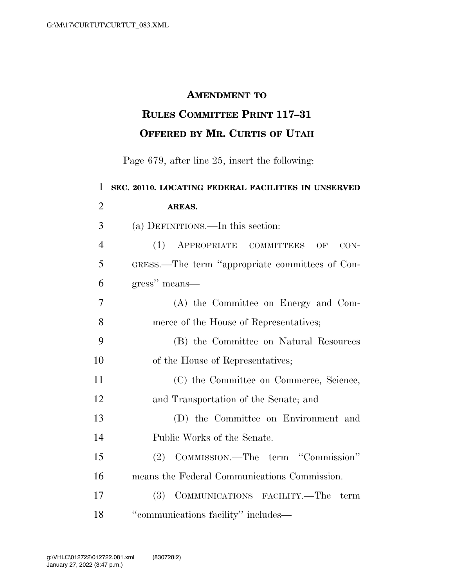## **AMENDMENT TO**

## **RULES COMMITTEE PRINT 117–31 OFFERED BY MR. CURTIS OF UTAH**

Page 679, after line 25, insert the following:

 **SEC. 20110. LOCATING FEDERAL FACILITIES IN UNSERVED AREAS.**  (a) DEFINITIONS.—In this section: (1) APPROPRIATE COMMITTEES OF CON- GRESS.—The term ''appropriate committees of Con- gress'' means— (A) the Committee on Energy and Com- merce of the House of Representatives; (B) the Committee on Natural Resources 10 of the House of Representatives; (C) the Committee on Commerce, Science, and Transportation of the Senate; and (D) the Committee on Environment and Public Works of the Senate. (2) COMMISSION.—The term ''Commission'' means the Federal Communications Commission. (3) COMMUNICATIONS FACILITY.—The term 18 "communications facility" includes—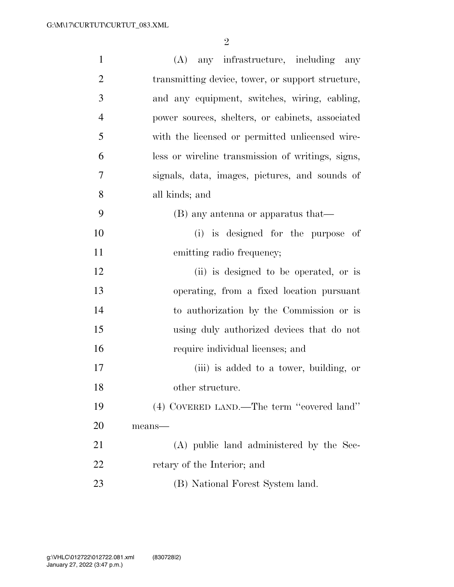| $\mathbf{1}$   | (A) any infrastructure, including any             |
|----------------|---------------------------------------------------|
| $\overline{2}$ | transmitting device, tower, or support structure, |
| 3              | and any equipment, switches, wiring, cabling,     |
| $\overline{4}$ | power sources, shelters, or cabinets, associated  |
| 5              | with the licensed or permitted unlicensed wire-   |
| 6              | less or wireline transmission of writings, signs, |
| 7              | signals, data, images, pictures, and sounds of    |
| 8              | all kinds; and                                    |
| 9              | (B) any antenna or apparatus that—                |
| 10             | (i) is designed for the purpose of                |
| 11             | emitting radio frequency;                         |
| 12             | (ii) is designed to be operated, or is            |
| 13             | operating, from a fixed location pursuant         |
| 14             | to authorization by the Commission or is          |
| 15             | using duly authorized devices that do not         |
| 16             | require individual licenses; and                  |
| 17             | (iii) is added to a tower, building, or           |
| 18             | other structure.                                  |
| 19             | (4) COVERED LAND.—The term "covered land"         |
| <b>20</b>      | means-                                            |
| 21             | (A) public land administered by the Sec-          |
| 22             | retary of the Interior; and                       |
| 23             | (B) National Forest System land.                  |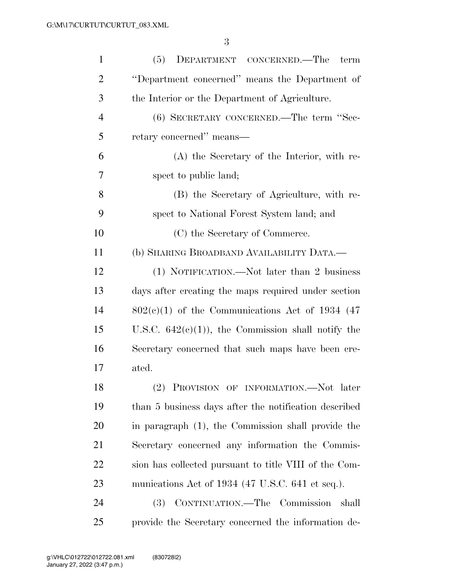| $\mathbf{1}$   | DEPARTMENT CONCERNED.—The<br>(5)<br>term              |
|----------------|-------------------------------------------------------|
| $\overline{2}$ | "Department concerned" means the Department of        |
| 3              | the Interior or the Department of Agriculture.        |
| $\overline{4}$ | (6) SECRETARY CONCERNED.—The term "Sec-               |
| 5              | retary concerned" means—                              |
| 6              | (A) the Secretary of the Interior, with re-           |
| 7              | spect to public land;                                 |
| 8              | (B) the Secretary of Agriculture, with re-            |
| 9              | spect to National Forest System land; and             |
| 10             | (C) the Secretary of Commerce.                        |
| 11             | (b) SHARING BROADBAND AVAILABILITY DATA.—             |
| 12             | (1) NOTIFICATION.—Not later than 2 business           |
| 13             | days after creating the maps required under section   |
| 14             | $802(e)(1)$ of the Communications Act of 1934 (47)    |
| 15             | U.S.C. $642(e)(1)$ , the Commission shall notify the  |
| 16             | Secretary concerned that such maps have been cre-     |
| 17             | ated.                                                 |
| 18             | (2) PROVISION OF INFORMATION.—Not later               |
| 19             | than 5 business days after the notification described |
| 20             | in paragraph (1), the Commission shall provide the    |
| 21             | Secretary concerned any information the Commis-       |
| 22             | sion has collected pursuant to title VIII of the Com- |
| 23             | munications Act of 1934 (47 U.S.C. 641 et seq.).      |
| 24             | CONTINUATION.—The Commission<br>shall<br><b>(3)</b>   |
| 25             | provide the Secretary concerned the information de-   |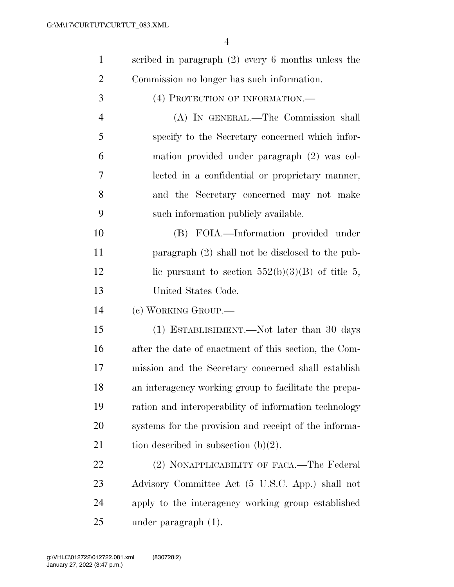| scribed in paragraph $(2)$ every 6 months unless the |
|------------------------------------------------------|
| Commission no longer has such information.           |

(4) PROTECTION OF INFORMATION.—

 (A) IN GENERAL.—The Commission shall specify to the Secretary concerned which infor- mation provided under paragraph (2) was col- lected in a confidential or proprietary manner, and the Secretary concerned may not make such information publicly available.

 (B) FOIA.—Information provided under paragraph (2) shall not be disclosed to the pub-12 lic pursuant to section  $552(b)(3)(B)$  of title 5, United States Code.

(c) WORKING GROUP.—

 (1) ESTABLISHMENT.—Not later than 30 days after the date of enactment of this section, the Com- mission and the Secretary concerned shall establish an interagency working group to facilitate the prepa- ration and interoperability of information technology systems for the provision and receipt of the informa-21 tion described in subsection  $(b)(2)$ .

22 (2) NONAPPLICABILITY OF FACA.—The Federal Advisory Committee Act (5 U.S.C. App.) shall not apply to the interagency working group established under paragraph (1).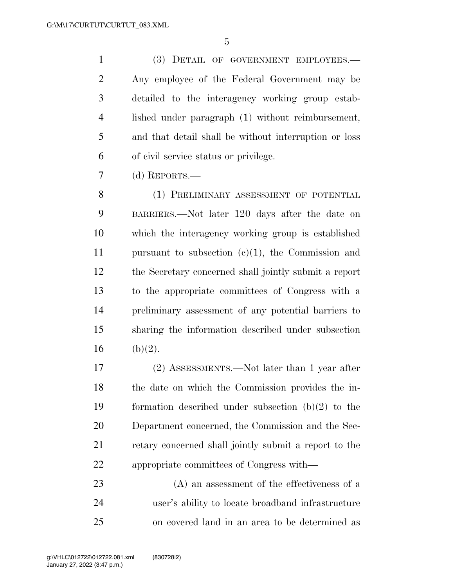(3) DETAIL OF GOVERNMENT EMPLOYEES.— Any employee of the Federal Government may be detailed to the interagency working group estab- lished under paragraph (1) without reimbursement, and that detail shall be without interruption or loss of civil service status or privilege.

(d) REPORTS.—

 (1) PRELIMINARY ASSESSMENT OF POTENTIAL BARRIERS.—Not later 120 days after the date on which the interagency working group is established pursuant to subsection (c)(1), the Commission and the Secretary concerned shall jointly submit a report to the appropriate committees of Congress with a preliminary assessment of any potential barriers to sharing the information described under subsection 16 (b)(2).

 (2) ASSESSMENTS.—Not later than 1 year after the date on which the Commission provides the in- formation described under subsection (b)(2) to the Department concerned, the Commission and the Sec- retary concerned shall jointly submit a report to the appropriate committees of Congress with—

 (A) an assessment of the effectiveness of a user's ability to locate broadband infrastructure on covered land in an area to be determined as